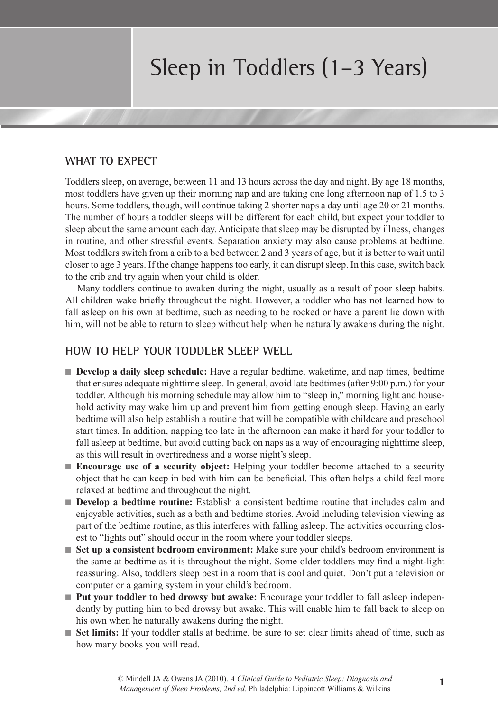## Sleep in Toddlers (1–3 Years)

## **WHAT TO EXPECT**

Toddlers sleep, on average, between 11 and 13 hours across the day and night. By age 18 months, most toddlers have given up their morning nap and are taking one long afternoon nap of 1.5 to 3 hours. Some toddlers, though, will continue taking 2 shorter naps a day until age 20 or 21 months. The number of hours a toddler sleeps will be different for each child, but expect your toddler to sleep about the same amount each day. Anticipate that sleep may be disrupted by illness, changes in routine, and other stressful events. Separation anxiety may also cause problems at bedtime. Most toddlers switch from a crib to a bed between 2 and 3 years of age, but it is better to wait until closer to age 3 years. If the change happens too early, it can disrupt sleep. In this case, switch back to the crib and try again when your child is older.

Many toddlers continue to awaken during the night, usually as a result of poor sleep habits. All children wake briefly throughout the night. However, a toddler who has not learned how to fall asleep on his own at bedtime, such as needing to be rocked or have a parent lie down with him, will not be able to return to sleep without help when he naturally awakens during the night.

## **HOW TO HELP YOUR TODDLER SLEEP WELL**

- n **Develop a daily sleep schedule:** Have a regular bedtime, waketime, and nap times, bedtime that ensures adequate nighttime sleep. In general, avoid late bedtimes (after 9:00 p.m.) for your toddler. Although his morning schedule may allow him to "sleep in," morning light and household activity may wake him up and prevent him from getting enough sleep. Having an early bedtime will also help establish a routine that will be compatible with childcare and preschool start times. In addition, napping too late in the afternoon can make it hard for your toddler to fall asleep at bedtime, but avoid cutting back on naps as a way of encouraging nighttime sleep, as this will result in overtiredness and a worse night's sleep.
- **Encourage use of a security object:** Helping your toddler become attached to a security object that he can keep in bed with him can be beneficial. This often helps a child feel more relaxed at bedtime and throughout the night.
- **Develop a bedtime routine:** Establish a consistent bedtime routine that includes calm and enjoyable activities, such as a bath and bedtime stories. Avoid including television viewing as part of the bedtime routine, as this interferes with falling asleep. The activities occurring closest to "lights out" should occur in the room where your toddler sleeps.
- **Set up a consistent bedroom environment:** Make sure your child's bedroom environment is the same at bedtime as it is throughout the night. Some older toddlers may find a night-light reassuring. Also, toddlers sleep best in a room that is cool and quiet. Don't put a television or computer or a gaming system in your child's bedroom.
- Put your toddler to bed drowsy but awake: Encourage your toddler to fall asleep independently by putting him to bed drowsy but awake. This will enable him to fall back to sleep on his own when he naturally awakens during the night.
- n **Set limits:** If your toddler stalls at bedtime, be sure to set clear limits ahead of time, such as how many books you will read.